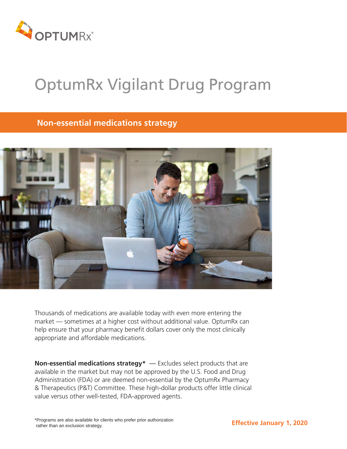

# OptumRx Vigilant Drug Program

# **Non-essential medications strategy**



Thousands of medications are available today with even more entering the market — sometimes at a higher cost without additional value. OptumRx can help ensure that your pharmacy benefit dollars cover only the most clinically appropriate and affordable medications.

**Non-essential medications strategy\*** — Excludes select products that are available in the market but may not be approved by the U.S. Food and Drug Administration (FDA) or are deemed non-essential by the OptumRx Pharmacy & Therapeutics (P&T) Committee. These high-dollar products offer little clinical value versus other well-tested, FDA-approved agents.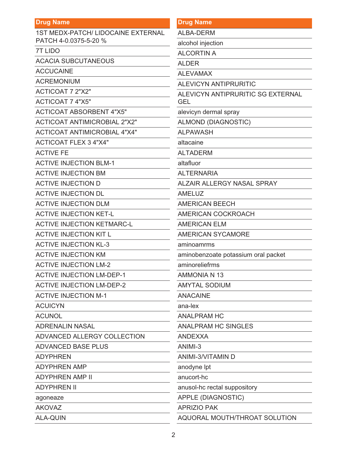| <b>Drug Name</b>                    | Dru             |
|-------------------------------------|-----------------|
| 1ST MEDX-PATCH/ LIDOCAINE EXTERNAL  | <b>ALE</b>      |
| PATCH 4-0.0375-5-20 %               | alco            |
| <b>7T LIDO</b>                      | AL <sub>C</sub> |
| <b>ACACIA SUBCUTANEOUS</b>          | <b>ALC</b>      |
| <b>ACCUCAINE</b>                    | <b>ALE</b>      |
| <b>ACREMONIUM</b>                   | <b>ALE</b>      |
| <b>ACTICOAT 7 2"X2"</b>             | <b>ALE</b>      |
| <b>ACTICOAT 7 4"X5"</b>             | <b>GEI</b>      |
| <b>ACTICOAT ABSORBENT 4"X5"</b>     | aley            |
| <b>ACTICOAT ANTIMICROBIAL 2"X2"</b> | <b>ALN</b>      |
| <b>ACTICOAT ANTIMICROBIAL 4"X4"</b> | <b>ALF</b>      |
| <b>ACTICOAT FLEX 3 4"X4"</b>        | alta            |
| <b>ACTIVE FE</b>                    | <b>ALT</b>      |
| <b>ACTIVE INJECTION BLM-1</b>       | alta            |
| <b>ACTIVE INJECTION BM</b>          | <b>ALT</b>      |
| <b>ACTIVE INJECTION D</b>           | <b>ALZ</b>      |
| <b>ACTIVE INJECTION DL</b>          | <b>AMI</b>      |
| <b>ACTIVE INJECTION DLM</b>         | <b>AMI</b>      |
| <b>ACTIVE INJECTION KET-L</b>       | <b>AMI</b>      |
| <b>ACTIVE INJECTION KETMARC-L</b>   | <b>AMI</b>      |
| <b>ACTIVE INJECTION KIT L</b>       | <b>AMI</b>      |
| <b>ACTIVE INJECTION KL-3</b>        | ami             |
| <b>ACTIVE INJECTION KM</b>          | ami             |
| <b>ACTIVE INJECTION LM-2</b>        | ami             |
| <b>ACTIVE INJECTION LM-DEP-1</b>    | <b>AMI</b>      |
| <b>ACTIVE INJECTION LM-DEP-2</b>    | AM <sup>®</sup> |
| <b>ACTIVE INJECTION M-1</b>         | AN              |
| <b>ACUICYN</b>                      | ana             |
| <b>ACUNOL</b>                       | AN              |
| <b>ADRENALIN NASAL</b>              | AN              |
| ADVANCED ALLERGY COLLECTION         | <b>ANI</b>      |
| <b>ADVANCED BASE PLUS</b>           | <b>ANI</b>      |
| <b>ADYPHREN</b>                     | <b>ANI</b>      |
| <b>ADYPHREN AMP</b>                 | ano             |
| <b>ADYPHREN AMP II</b>              | anu             |
| <b>ADYPHREN II</b>                  | anu             |
| agoneaze                            | <b>APF</b>      |
| <b>AKOVAZ</b>                       | <b>APF</b>      |
| <b>ALA-QUIN</b>                     | <b>AQI</b>      |

| <b>Drug Name</b> |
|------------------|
|------------------|

**BA-DERM** 

bhol injection

**CORTIN A** 

**ER** 

**EVAMAX** 

**EVICYN ANTIPRURITIC** 

**EVICYN ANTIPRURITIC SG EXTERNAL** 

vicyn dermal spray

**MOND (DIAGNOSTIC)** 

**PAWASH** 

caine

**ADERM** 

fluor

*ERNARIA* 

ZAIR ALLERGY NASAL SPRAY

**ELUZ** 

**ERICAN BEECH** 

ERICAN COCKROACH

**ERICAN ELM** 

**ERICAN SYCAMORE** 

noamrms

inobenzoate potassium oral packet

noreliefrms

**MONIA N 13** 

**YTAL SODIUM** 

**ACAINE** 

-lex

ALPRAM HC

ALPRAM HC SINGLES

**DEXXA** 

 $MI-3$ 

MI-3/VITAMIN D

dyne lpt

cort-hc

sol-hc rectal suppository

PLE (DIAGNOSTIC)

**RIZIO PAK** 

AQUORAL MOUTH/THROAT SOLUTION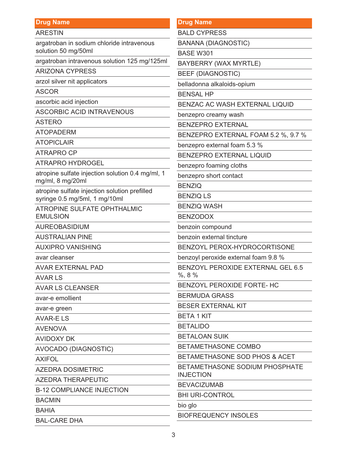ARESTIN

argatroban in sodium chloride intravenous solution 50 mg/50ml

argatroban intravenous solution 125 mg/125ml

ARIZONA CYPRESS

arzol silver nit applicators

ASCOR

ascorbic acid injection

ASCORBIC ACID INTRAVENOUS

ASTERO

ATOPADERM

ATOPICLAIR

ATRAPRO CP

ATRAPRO HYDROGEL

atropine sulfate injection solution 0.4 mg/ml, 1 mg/ml, 8 mg/20ml

atropine sulfate injection solution prefilled syringe 0.5 mg/5ml, 1 mg/10ml

ATROPINE SULFATE OPHTHALMIC EMULSION

AUREOBASIDIUM

AUSTRALIAN PINE

AUXIPRO VANISHING

avar cleanser

AVAR EXTERNAL PAD

AVAR LS

AVAR LS CLEANSER

avar-e emollient

avar-e green

AVAR-E LS

AVENOVA

AVIDOXY DK

AVOCADO (DIAGNOSTIC)

AXIFOL

AZEDRA DOSIMETRIC

AZEDRA THERAPEUTIC

B-12 COMPLIANCE INJECTION

BACMIN

**BAHIA** 

BAL-CARE DHA

#### **Drug Name**

BALD CYPRESS

BANANA (DIAGNOSTIC)

BASE W301

BAYBERRY (WAX MYRTLE)

BEEF (DIAGNOSTIC)

belladonna alkaloids-opium

BENSAL HP

BENZAC AC WASH EXTERNAL LIQUID

benzepro creamy wash

BENZEPRO EXTERNAL

BENZEPRO EXTERNAL FOAM 5.2 %, 9.7 %

benzepro external foam 5.3 %

BENZEPRO EXTERNAL LIQUID

benzepro foaming cloths

benzepro short contact

BENZIQ

BENZIQ LS

BENZIQ WASH

BENZODOX

benzoin compound

benzoin external tincture

BENZOYL PEROX-HYDROCORTISONE

benzoyl peroxide external foam 9.8 %

BENZOYL PEROXIDE EXTERNAL GEL 6.5 %, 8 %

BENZOYL PEROXIDE FORTE- HC

BERMUDA GRASS

BESER EXTERNAL KIT

BETA 1 KIT

BETALIDO

BETALOAN SUIK

BETAMETHASONE COMBO

BETAMETHASONE SOD PHOS & ACET

BETAMETHASONE SODIUM PHOSPHATE INJECTION

BEVACIZUMAB

BHI URI-CONTROL

bio glo

BIOFREQUENCY INSOLES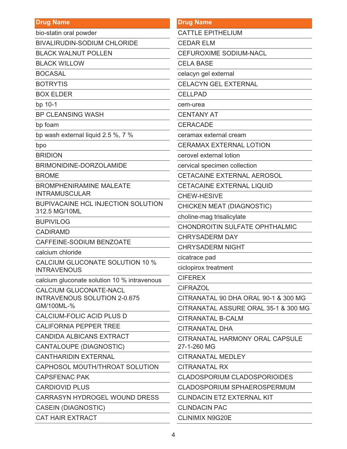bio-statin oral powder

**BIVALIRUDIN-SODIUM CHLORIDE** 

**BLACK WALNUT POLLEN** 

**BLACK WILLOW** 

**BOCASAL** 

**BOTRYTIS** 

**BOX ELDER** 

bp  $10-1$ 

**BP CLEANSING WASH** 

bp foam

bp wash external liquid 2.5 %, 7 %

bpo

**BRIDION** 

BRIMONIDINE-DORZOLAMIDE

**BROME** 

**BROMPHENIRAMINE MALEATE INTRAMUSCULAR** 

**BUPIVACAINE HCL INJECTION SOLUTION** 312.5 MG/10ML

**BUPIVILOG** 

**CADIRAMD** 

CAFFEINE-SODIUM BENZOATE

calcium chloride

CALCIUM GLUCONATE SOLUTION 10 % **INTRAVENOUS** 

calcium gluconate solution 10 % intravenous

CALCIUM GLUCONATE-NACL **INTRAVENOUS SOLUTION 2-0.675** GM/100ML-%

CALCIUM-FOLIC ACID PLUS D

**CALIFORNIA PEPPER TREE** 

**CANDIDA ALBICANS EXTRACT** 

CANTALOUPE (DIAGNOSTIC)

**CANTHARIDIN EXTERNAL** 

CAPHOSOL MOUTH/THROAT SOLUTION

**CAPSFENAC PAK** 

**CARDIOVID PLUS** 

CARRASYN HYDROGEL WOUND DRESS

**CASEIN (DIAGNOSTIC)** 

**CAT HAIR EXTRACT** 

#### **Drug Name**

**CATTLE EPITHELIUM** 

**CEDAR ELM** 

**CEFUROXIME SODIUM-NACL** 

**CELA BASE** 

celacyn gel external

**CELACYN GEL EXTERNAL** 

**CELLPAD** 

cem-urea

**CENTANY AT** 

**CERACADE** 

ceramax external cream

**CERAMAX EXTERNAL LOTION** 

cerovel external lotion

cervical specimen collection

CETACAINE EXTERNAL AEROSOL

CETACAINE EXTERNAL LIQUID

CHEW-HESIVE

CHICKEN MEAT (DIAGNOSTIC)

choline-mag trisalicylate

CHONDROITIN SULFATE OPHTHALMIC

**CHRYSADERM DAY** 

**CHRYSADERM NIGHT** 

cicatrace pad

ciclopirox treatment

**CIFEREX** 

**CIFRAZOL** 

CITRANATAL 90 DHA ORAL 90-1 & 300 MG

CITRANATAL ASSURE ORAL 35-1 & 300 MG

**CITRANATAL B-CALM** 

CITRANATAI DHA

CITRANATAL HARMONY ORAL CAPSULE 27-1-260 MG

**CITRANATAL MEDLEY** 

CITRANATAI RX

**CLADOSPORIUM CLADOSPORIOIDES** 

**CLADOSPORIUM SPHAEROSPERMUM** 

**CLINDACIN ETZ EXTERNAL KIT** 

**CLINDACIN PAC** 

**CLINIMIX N9G20E**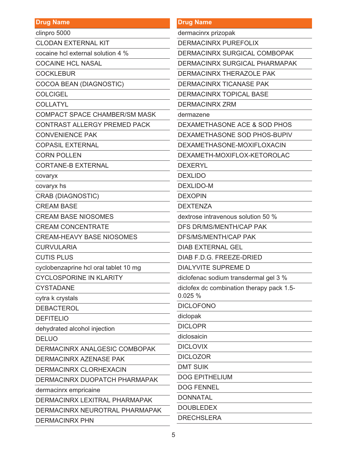| <b>Drug Name</b>                      | <b>Drug Name</b>                          |
|---------------------------------------|-------------------------------------------|
| clinpro 5000                          | dermacinrx prizopak                       |
| <b>CLODAN EXTERNAL KIT</b>            | <b>DERMACINRX PUREFOLIX</b>               |
| cocaine hcl external solution 4 %     | <b>DERMACINRX SURGICAL COMBOPAK</b>       |
| <b>COCAINE HCL NASAL</b>              | DERMACINRX SURGICAL PHARMAPAK             |
| <b>COCKLEBUR</b>                      | <b>DERMACINRX THERAZOLE PAK</b>           |
| COCOA BEAN (DIAGNOSTIC)               | <b>DERMACINRX TICANASE PAK</b>            |
| <b>COLCIGEL</b>                       | <b>DERMACINRX TOPICAL BASE</b>            |
| <b>COLLATYL</b>                       | <b>DERMACINRX ZRM</b>                     |
| <b>COMPACT SPACE CHAMBER/SM MASK</b>  | dermazene                                 |
| <b>CONTRAST ALLERGY PREMED PACK</b>   | DEXAMETHASONE ACE & SOD PHOS              |
| <b>CONVENIENCE PAK</b>                | DEXAMETHASONE SOD PHOS-BUPIV              |
| <b>COPASIL EXTERNAL</b>               | DEXAMETHASONE-MOXIFLOXACIN                |
| <b>CORN POLLEN</b>                    | DEXAMETH-MOXIFLOX-KETOROLAC               |
| <b>CORTANE-B EXTERNAL</b>             | <b>DEXERYL</b>                            |
| covaryx                               | <b>DEXLIDO</b>                            |
| covaryx hs                            | <b>DEXLIDO-M</b>                          |
| <b>CRAB (DIAGNOSTIC)</b>              | <b>DEXOPIN</b>                            |
| <b>CREAM BASE</b>                     | <b>DEXTENZA</b>                           |
| <b>CREAM BASE NIOSOMES</b>            | dextrose intravenous solution 50 %        |
| <b>CREAM CONCENTRATE</b>              | DFS DR/MS/MENTH/CAP PAK                   |
| <b>CREAM-HEAVY BASE NIOSOMES</b>      | <b>DFS/MS/MENTH/CAP PAK</b>               |
| <b>CURVULARIA</b>                     | <b>DIAB EXTERNAL GEL</b>                  |
| <b>CUTIS PLUS</b>                     | DIAB F.D.G. FREEZE-DRIED                  |
| cyclobenzaprine hcl oral tablet 10 mg | DIALYVITE SUPREME D                       |
| <b>CYCLOSPORINE IN KLARITY</b>        | diclofenac sodium transdermal gel 3 %     |
| <b>CYSTADANE</b>                      | diclofex dc combination therapy pack 1.5- |
| cytra k crystals                      | 0.025%                                    |
| <b>DEBACTEROL</b>                     | <b>DICLOFONO</b>                          |
| <b>DEFITELIO</b>                      | diclopak                                  |
| dehydrated alcohol injection          | <b>DICLOPR</b>                            |
| <b>DELUO</b>                          | diclosaicin                               |
| DERMACINRX ANALGESIC COMBOPAK         | <b>DICLOVIX</b>                           |
| DERMACINRX AZENASE PAK                | <b>DICLOZOR</b>                           |
| DERMACINRX CLORHEXACIN                | <b>DMT SUIK</b>                           |
| DERMACINRX DUOPATCH PHARMAPAK         | <b>DOG EPITHELIUM</b>                     |
| dermacinrx empricaine                 | <b>DOG FENNEL</b>                         |
| DERMACINRX LEXITRAL PHARMAPAK         | <b>DONNATAL</b>                           |
| DERMACINRX NEUROTRAL PHARMAPAK        | <b>DOUBLEDEX</b>                          |
| <b>DERMACINRX PHN</b>                 | <b>DRECHSLERA</b>                         |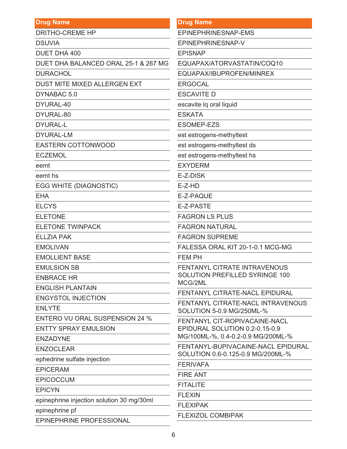| <b>Drug Name</b>                          | <b>Drug Name</b>                                               |  |
|-------------------------------------------|----------------------------------------------------------------|--|
| <b>DRITHO-CREME HP</b>                    | EPINEPHRINESNAP-EMS                                            |  |
| <b>DSUVIA</b>                             | EPINEPHRINESNAP-V                                              |  |
| <b>DUET DHA 400</b>                       | <b>EPISNAP</b>                                                 |  |
| DUET DHA BALANCED ORAL 25-1 & 267 MG      | EQUAPAX/ATORVASTATIN/COQ10                                     |  |
| <b>DURACHOL</b>                           | EQUAPAX/IBUPROFEN/MINREX                                       |  |
| DUST MITE MIXED ALLERGEN EXT              | <b>ERGOCAL</b>                                                 |  |
| DYNABAC 5.0                               | <b>ESCAVITE D</b>                                              |  |
| DYURAL-40                                 | escavite lq oral liquid                                        |  |
| DYURAL-80                                 | <b>ESKATA</b>                                                  |  |
| <b>DYURAL-L</b>                           | <b>ESOMEP-EZS</b>                                              |  |
| <b>DYURAL-LM</b>                          | est estrogens-methyltest                                       |  |
| <b>EASTERN COTTONWOOD</b>                 | est estrogens-methyltest ds                                    |  |
| <b>ECZEMOL</b>                            | est estrogens-methyltest hs                                    |  |
| eemt                                      | <b>EXYDERM</b>                                                 |  |
| eemt hs                                   | E-Z-DISK                                                       |  |
| <b>EGG WHITE (DIAGNOSTIC)</b>             | $E-Z-HD$                                                       |  |
| <b>EHA</b>                                | E-Z-PAQUE                                                      |  |
| <b>ELCYS</b>                              | E-Z-PASTE                                                      |  |
| <b>ELETONE</b>                            | <b>FAGRON LS PLUS</b>                                          |  |
| <b>ELETONE TWINPACK</b>                   | <b>FAGRON NATURAL</b>                                          |  |
| <b>ELLZIA PAK</b>                         | <b>FAGRON SUPREME</b>                                          |  |
| <b>EMOLIVAN</b>                           | FALESSA ORAL KIT 20-1-0.1 MCG-MG                               |  |
| <b>EMOLLIENT BASE</b>                     | <b>FEM PH</b>                                                  |  |
| <b>EMULSION SB</b>                        | <b>FENTANYL CITRATE INTRAVENOUS</b>                            |  |
| <b>ENBRACE HR</b>                         | <b>SOLUTION PREFILLED SYRINGE 100</b><br>MCG/2ML               |  |
| <b>ENGLISH PLANTAIN</b>                   |                                                                |  |
| <b>ENGYSTOL INJECTION</b>                 | <b>FENTANYL CITRATE-NACL EPIDURAL</b>                          |  |
| <b>ENLYTE</b>                             | FENTANYL CITRATE-NACL INTRAVENOUS<br>SOLUTION 5-0.9 MG/250ML-% |  |
| ENTERO VU ORAL SUSPENSION 24 %            | <b>FENTANYL CIT-ROPIVACAINE-NACL</b>                           |  |
| <b>ENTTY SPRAY EMULSION</b>               | EPIDURAL SOLUTION 0.2-0.15-0.9                                 |  |
| <b>ENZADYNE</b>                           | MG/100ML-%, 0.4-0.2-0.9 MG/200ML-%                             |  |
| <b>ENZOCLEAR</b>                          | FENTANYL-BUPIVACAINE-NACL EPIDURAL                             |  |
| ephedrine sulfate injection               | SOLUTION 0.6-0.125-0.9 MG/200ML-%                              |  |
| <b>EPICERAM</b>                           | <b>FERIVAFA</b>                                                |  |
| <b>EPICOCCUM</b>                          | <b>FIRE ANT</b>                                                |  |
| <b>EPICYN</b>                             | <b>FITALITE</b>                                                |  |
| epinephrine injection solution 30 mg/30ml | <b>FLEXIN</b>                                                  |  |
| epinephrine pf                            | <b>FLEXIPAK</b>                                                |  |
| EPINEPHRINE PROFESSIONAL                  | <b>FLEXIZOL COMBIPAK</b>                                       |  |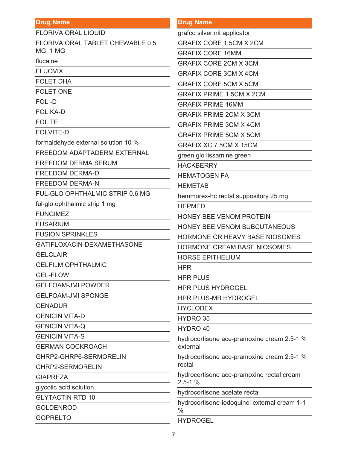| <b>FLORIVA ORAL LIQUID</b>          | grafco silve        |
|-------------------------------------|---------------------|
| FLORIVA ORAL TABLET CHEWABLE 0.5    | <b>GRAFIX C</b>     |
| <b>MG, 1 MG</b>                     | <b>GRAFIX C</b>     |
| flucaine                            | <b>GRAFIX C</b>     |
| <b>FLUOVIX</b>                      | <b>GRAFIX C</b>     |
| <b>FOLET DHA</b>                    | <b>GRAFIX C</b>     |
| <b>FOLET ONE</b>                    | <b>GRAFIX PI</b>    |
| <b>FOLI-D</b>                       | <b>GRAFIX PI</b>    |
| <b>FOLIKA-D</b>                     | <b>GRAFIX PI</b>    |
| <b>FOLITE</b>                       | <b>GRAFIX PI</b>    |
| <b>FOLVITE-D</b>                    | <b>GRAFIX PI</b>    |
| formaldehyde external solution 10 % | <b>GRAFIX X</b>     |
| FREEDOM ADAPTADERM EXTERNAL         | green glo li        |
| <b>FREEDOM DERMA SERUM</b>          | <b>HACKBER</b>      |
| <b>FREEDOM DERMA-D</b>              | <b>HEMATOG</b>      |
| <b>FREEDOM DERMA-N</b>              | <b>HEMETAB</b>      |
| FUL-GLO OPHTHALMIC STRIP 0.6 MG     | hemmorex            |
| ful-glo ophthalmic strip 1 mg       | <b>HEPMED</b>       |
| <b>FUNGIMEZ</b>                     | <b>HONEY BE</b>     |
| <b>FUSARIUM</b>                     | <b>HONEY BE</b>     |
| <b>FUSION SPRINKLES</b>             | <b>HORMONE</b>      |
| GATIFLOXACIN-DEXAMETHASONE          | <b>HORMONE</b>      |
| <b>GELCLAIR</b>                     | <b>HORSE EF</b>     |
| <b>GELFILM OPHTHALMIC</b>           | <b>HPR</b>          |
| <b>GEL-FLOW</b>                     | <b>HPR PLUS</b>     |
| <b>GELFOAM-JMI POWDER</b>           | <b>HPR PLUS</b>     |
| <b>GELFOAM-JMI SPONGE</b>           | <b>HPR PLUS</b>     |
| <b>GENADUR</b>                      | <b>HYCLODE</b>      |
| <b>GENICIN VITA-D</b>               | HYDRO 35            |
| <b>GENICIN VITA-Q</b>               | <b>HYDRO 40</b>     |
| <b>GENICIN VITA-S</b>               | hydrocortis         |
| <b>GERMAN COCKROACH</b>             | external            |
| GHRP2-GHRP6-SERMORELIN              | hydrocortis         |
| <b>GHRP2-SERMORELIN</b>             | rectal              |
| <b>GIAPREZA</b>                     | hydrocortis         |
| glycolic acid solution              | $2.5 - 1%$          |
| <b>GLYTACTIN RTD 10</b>             | hydrocortis         |
| <b>GOLDENROD</b>                    | hydrocortis<br>$\%$ |
| <b>GOPRELTO</b>                     | UVDDOCE             |

| <b>Drug Name</b>                                              |
|---------------------------------------------------------------|
| grafco silver nit applicator                                  |
| <b>GRAFIX CORE 1.5CM X 2CM</b>                                |
| <b>GRAFIX CORE 16MM</b>                                       |
| <b>GRAFIX CORE 2CM X 3CM</b>                                  |
| <b>GRAFIX CORE 3CM X 4CM</b>                                  |
| <b>GRAFIX CORE 5CM X 5CM</b>                                  |
| <b>GRAFIX PRIME 1.5CM X 2CM</b>                               |
| <b>GRAFIX PRIME 16MM</b>                                      |
| <b>GRAFIX PRIME 2CM X 3CM</b>                                 |
| <b>GRAFIX PRIME 3CM X 4CM</b>                                 |
| <b>GRAFIX PRIME 5CM X 5CM</b>                                 |
| GRAFIX XC 7.5CM X 15CM                                        |
| green glo lissamine green                                     |
| <b>HACKBERRY</b>                                              |
| <b>HEMATOGEN FA</b>                                           |
| <b>HEMETAB</b>                                                |
| hemmorex-hc rectal suppository 25 mg                          |
| <b>HEPMED</b>                                                 |
| <b>HONEY BEE VENOM PROTEIN</b>                                |
| <b>HONEY BEE VENOM SUBCUTANEOUS</b>                           |
| HORMONE CR HEAVY BASE NIOSOMES                                |
| <b>HORMONE CREAM BASE NIOSOMES</b>                            |
| <b>HORSE EPITHELIUM</b>                                       |
| <b>HPR</b>                                                    |
| <b>HPR PLUS</b>                                               |
| <b>HPR PLUS HYDROGEL</b>                                      |
| <b>HPR PLUS-MB HYDROGEL</b>                                   |
| <b>HYCLODEX</b>                                               |
| HYDRO 35                                                      |
| HYDRO 40                                                      |
| hydrocortisone ace-pramoxine cream 2.5-1 %<br>external        |
| hydrocortisone ace-pramoxine cream 2.5-1 %<br>rectal          |
| hydrocortisone ace-pramoxine rectal cream<br>$2.5 - 1%$       |
| hydrocortisone acetate rectal                                 |
| hydrocortisone-iodoquinol external cream 1-1<br>$\frac{0}{6}$ |

HYDROGEL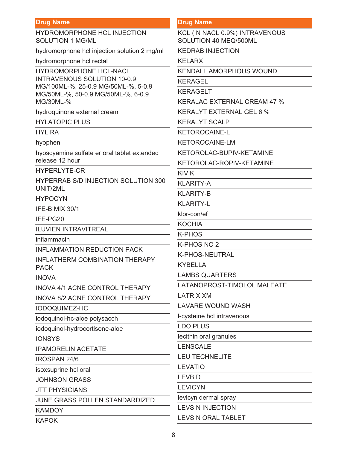| <b>Drug Name</b>                                                          | <b>Drug Name</b>                                        |
|---------------------------------------------------------------------------|---------------------------------------------------------|
| <b>HYDROMORPHONE HCL INJECTION</b><br><b>SOLUTION 1 MG/ML</b>             | KCL (IN NACL 0.9%) INTRAVENOUS<br>SOLUTION 40 MEQ/500ML |
| hydromorphone hcl injection solution 2 mg/ml                              | <b>KEDRAB INJECTION</b>                                 |
| hydromorphone hcl rectal                                                  | <b>KELARX</b>                                           |
| <b>HYDROMORPHONE HCL-NACL</b>                                             | <b>KENDALL AMORPHOUS WOUND</b>                          |
| <b>INTRAVENOUS SOLUTION 10-0.9</b>                                        | <b>KERAGEL</b>                                          |
| MG/100ML-%, 25-0.9 MG/50ML-%, 5-0.9<br>MG/50ML-%, 50-0.9 MG/50ML-%, 6-0.9 | <b>KERAGELT</b>                                         |
| MG/30ML-%                                                                 | <b>KERALAC EXTERNAL CREAM 47 %</b>                      |
| hydroquinone external cream                                               | KERALYT EXTERNAL GEL 6 %                                |
| <b>HYLATOPIC PLUS</b>                                                     | <b>KERALYT SCALP</b>                                    |
| <b>HYLIRA</b>                                                             | <b>KETOROCAINE-L</b>                                    |
| hyophen                                                                   | <b>KETOROCAINE-LM</b>                                   |
| hyoscyamine sulfate er oral tablet extended                               | KETOROLAC-BUPIV-KETAMINE                                |
| release 12 hour                                                           | KETOROLAC-ROPIV-KETAMINE                                |
| <b>HYPERLYTE-CR</b>                                                       | <b>KIVIK</b>                                            |
| <b>HYPERRAB S/D INJECTION SOLUTION 300</b><br>UNIT/2ML                    | <b>KLARITY-A</b>                                        |
| <b>HYPOCYN</b>                                                            | <b>KLARITY-B</b>                                        |
| IFE-BIMIX 30/1                                                            | <b>KLARITY-L</b>                                        |
| IFE-PG20                                                                  | klor-con/ef                                             |
| <b>ILUVIEN INTRAVITREAL</b>                                               | <b>KOCHIA</b>                                           |
| inflammacin                                                               | <b>K-PHOS</b>                                           |
| <b>INFLAMMATION REDUCTION PACK</b>                                        | K-PHOS NO 2                                             |
| <b>INFLATHERM COMBINATION THERAPY</b>                                     | K-PHOS-NEUTRAL                                          |
| <b>PACK</b>                                                               | <b>KYBELLA</b>                                          |
| <b>INOVA</b>                                                              | <b>LAMBS QUARTERS</b>                                   |
| INOVA 4/1 ACNE CONTROL THERAPY                                            | LATANOPROST-TIMOLOL MALEATE                             |
| <b>INOVA 8/2 ACNE CONTROL THERAPY</b>                                     | <b>LATRIX XM</b>                                        |
| <b>IODOQUIMEZ-HC</b>                                                      | <b>LAVARE WOUND WASH</b>                                |
| iodoquinol-hc-aloe polysacch                                              | I-cysteine hcl intravenous                              |
| iodoquinol-hydrocortisone-aloe                                            | <b>LDO PLUS</b>                                         |
| <b>IONSYS</b>                                                             | lecithin oral granules                                  |
| <b>IPAMORELIN ACETATE</b>                                                 | <b>LENSCALE</b>                                         |
| <b>IROSPAN 24/6</b>                                                       | <b>LEU TECHNELITE</b>                                   |
| isoxsuprine hcl oral                                                      | <b>LEVATIO</b>                                          |
| <b>JOHNSON GRASS</b>                                                      | <b>LEVBID</b>                                           |
| <b>JTT PHYSICIANS</b>                                                     | <b>LEVICYN</b>                                          |
| JUNE GRASS POLLEN STANDARDIZED                                            | levicyn dermal spray                                    |
| <b>KAMDOY</b>                                                             | <b>LEVSIN INJECTION</b>                                 |
| <b>KAPOK</b>                                                              | <b>LEVSIN ORAL TABLET</b>                               |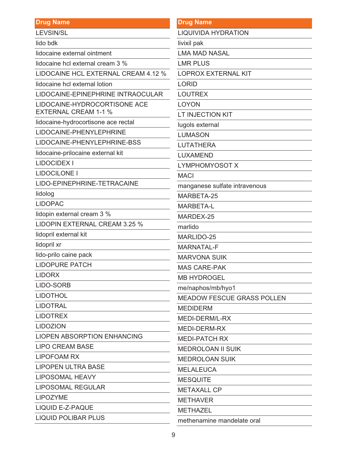| <b>Drug Name</b>                                                                                                                                                                                                                                                  | <b>Drug</b>          |
|-------------------------------------------------------------------------------------------------------------------------------------------------------------------------------------------------------------------------------------------------------------------|----------------------|
| <b>LEVSIN/SL</b>                                                                                                                                                                                                                                                  | <b>LIQUI</b>         |
| lido bdk                                                                                                                                                                                                                                                          | livixil              |
| lidocaine external ointment                                                                                                                                                                                                                                       | LMA                  |
| lidocaine hcl external cream 3 %                                                                                                                                                                                                                                  | <b>LMR</b>           |
| LIDOCAINE HCL EXTERNAL CREAM 4.12 %                                                                                                                                                                                                                               | <b>LOPF</b>          |
| lidocaine hcl external lotion                                                                                                                                                                                                                                     | <b>LORII</b>         |
| LIDOCAINE-EPINEPHRINE INTRAOCULAR                                                                                                                                                                                                                                 | <b>LOUT</b>          |
| LIDOCAINE-HYDROCORTISONE ACE<br><b>EXTERNAL CREAM 1-1 %</b>                                                                                                                                                                                                       | <b>LOYC</b><br>LT IN |
| lidocaine-hydrocortisone ace rectal                                                                                                                                                                                                                               | lugols               |
| LIDOCAINE-PHENYLEPHRINE                                                                                                                                                                                                                                           | <b>LUMA</b>          |
| LIDOCAINE-PHENYLEPHRINE-BSS                                                                                                                                                                                                                                       | <b>LUTA</b>          |
| lidocaine-prilocaine external kit                                                                                                                                                                                                                                 | <b>LUXA</b>          |
| <b>LIDOCIDEX I</b>                                                                                                                                                                                                                                                | <b>LYMF</b>          |
| <b>LIDOCILONE I</b>                                                                                                                                                                                                                                               | <b>MACI</b>          |
| LIDO-EPINEPHRINE-TETRACAINE                                                                                                                                                                                                                                       | mang                 |
| lidolog                                                                                                                                                                                                                                                           | <b>MARE</b>          |
| <b>LIDOPAC</b>                                                                                                                                                                                                                                                    | <b>MARE</b>          |
| lidopin external cream 3 %                                                                                                                                                                                                                                        | <b>MARI</b>          |
| LIDOPIN EXTERNAL CREAM 3.25 %                                                                                                                                                                                                                                     | marlio               |
| lidopril external kit                                                                                                                                                                                                                                             | <b>MARI</b>          |
| lidopril xr                                                                                                                                                                                                                                                       | <b>MARI</b>          |
| lido-prilo caine pack                                                                                                                                                                                                                                             | <b>MAR</b>           |
| <b>LIDOPURE PATCH</b>                                                                                                                                                                                                                                             | <b>MAS</b>           |
| <b>LIDORX</b>                                                                                                                                                                                                                                                     | MB <sub>H</sub>      |
| LIDO-SORB<br><u> 1980 - Johann Barn, mars an t-Amerikaansk ferskeider (</u>                                                                                                                                                                                       | me/na                |
| <b>LIDOTHOL</b>                                                                                                                                                                                                                                                   | <b>MEAD</b>          |
| <b>LIDOTRAL</b><br>the control of the control of the control of the                                                                                                                                                                                               | <b>MEDI</b>          |
| <b>LIDOTREX</b>                                                                                                                                                                                                                                                   | <b>MEDI</b>          |
| <b>LIDOZION</b><br>$\label{eq:2.1} \frac{1}{\sqrt{2}}\int_{\mathbb{R}^3}\frac{1}{\sqrt{2}}\left(\frac{1}{\sqrt{2}}\right)^2\left(\frac{1}{\sqrt{2}}\right)^2\left(\frac{1}{\sqrt{2}}\right)^2\left(\frac{1}{\sqrt{2}}\right)^2\left(\frac{1}{\sqrt{2}}\right)^2.$ | <b>MEDI</b>          |
| <b>LIOPEN ABSORPTION ENHANCING</b>                                                                                                                                                                                                                                | <b>MEDI</b>          |
| <b>LIPO CREAM BASE</b>                                                                                                                                                                                                                                            | <b>MEDF</b>          |
| <b>LIPOFOAM RX</b>                                                                                                                                                                                                                                                | <b>MEDF</b>          |
| <b>LIPOPEN ULTRA BASE</b><br><u> 1980 - Johann Barbara, martxa a</u>                                                                                                                                                                                              | <b>MELA</b>          |
| <b>LIPOSOMAL HEAVY</b>                                                                                                                                                                                                                                            | <b>MES</b>           |
| <b>LIPOSOMAL REGULAR</b><br><u> 1980 - Johann Barbara, martxa a</u>                                                                                                                                                                                               | MET/                 |
| <b>LIPOZYME</b>                                                                                                                                                                                                                                                   | <b>METH</b>          |
| <b>LIQUID E-Z-PAQUE</b>                                                                                                                                                                                                                                           | <b>METH</b>          |
| <b>LIQUID POLIBAR PLUS</b>                                                                                                                                                                                                                                        | $m$ $\alpha$ the     |

## **Name**

**IVIDA HYDRATION** 

pak

**MAD NASAL** 

**PLUS** 

ROX EXTERNAL KIT

D.

**TREX** 

ЭŃ

**JECTION KIT** 

s external

**ASON** 

**THERA** 

**MEND** 

**PHOMYOSOT X** 

anese sulfate intravenous

BETA-25

**BETA-L** 

**DEX-25** 

do

LIDO-25

**VATAL-F** 

**VONA SUIK** 

CARE-PAK

**YDROGEL** 

aphos/mb/hyo1

DOW FESCUE GRASS POLLEN

**IDERM** 

-DERM/L-RX

-DERM-RX

**-PATCH RX** 

ROLOAN II SUIK

ROLOAN SUIK

**ILEUCA** 

QUITE

**AXALL CP** 

**HAVER** 

**HAZEL** 

methenamine mandelate oral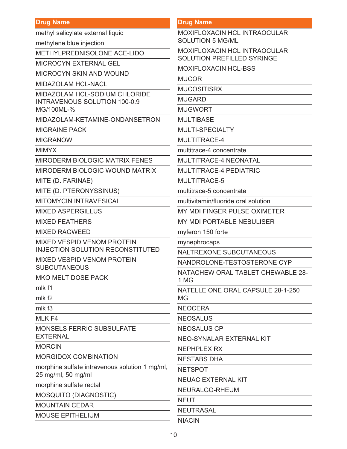| <b>Drug Name</b>                                                             | <b>Drug Name</b>                                                  |
|------------------------------------------------------------------------------|-------------------------------------------------------------------|
| methyl salicylate external liquid                                            | MOXIFLOXACIN HCL INTRAOCULAR                                      |
| methylene blue injection                                                     | <b>SOLUTION 5 MG/ML</b>                                           |
| METHYLPREDNISOLONE ACE-LIDO                                                  | MOXIFLOXACIN HCL INTRAOCULAR<br><b>SOLUTION PREFILLED SYRINGE</b> |
| <b>MICROCYN EXTERNAL GEL</b>                                                 | <b>MOXIFLOXACIN HCL-BSS</b>                                       |
| <b>MICROCYN SKIN AND WOUND</b>                                               | <b>MUCOR</b>                                                      |
| <b>MIDAZOLAM HCL-NACL</b>                                                    | <b>MUCOSITISRX</b>                                                |
| MIDAZOLAM HCL-SODIUM CHLORIDE                                                | <b>MUGARD</b>                                                     |
| <b>INTRAVENOUS SOLUTION 100-0.9</b><br>MG/100ML-%                            | <b>MUGWORT</b>                                                    |
| MIDAZOLAM-KETAMINE-ONDANSETRON                                               | <b>MULTIBASE</b>                                                  |
| <b>MIGRAINE PACK</b>                                                         | MULTI-SPECIALTY                                                   |
| <b>MIGRANOW</b>                                                              | MULTITRACE-4                                                      |
| <b>MIMYX</b>                                                                 | multitrace-4 concentrate                                          |
| <b>MIRODERM BIOLOGIC MATRIX FENES</b>                                        | <b>MULTITRACE-4 NEONATAL</b>                                      |
|                                                                              |                                                                   |
| <b>MIRODERM BIOLOGIC WOUND MATRIX</b>                                        | <b>MULTITRACE-4 PEDIATRIC</b>                                     |
| MITE (D. FARINAE)                                                            | MULTITRACE-5                                                      |
| MITE (D. PTERONYSSINUS)                                                      | multitrace-5 concentrate                                          |
| <b>MITOMYCIN INTRAVESICAL</b>                                                | multivitamin/fluoride oral solution                               |
| <b>MIXED ASPERGILLUS</b>                                                     | MY MDI FINGER PULSE OXIMETER                                      |
| <b>MIXED FEATHERS</b>                                                        | <b>MY MDI PORTABLE NEBULISER</b>                                  |
| <b>MIXED RAGWEED</b>                                                         | myferon 150 forte                                                 |
| <b>MIXED VESPID VENOM PROTEIN</b><br><b>INJECTION SOLUTION RECONSTITUTED</b> | mynephrocaps                                                      |
| <b>MIXED VESPID VENOM PROTEIN</b>                                            | <b>NALTREXONE SUBCUTANEOUS</b>                                    |
| <b>SUBCUTANEOUS</b>                                                          | NANDROLONE-TESTOSTERONE CYP                                       |
| <b>MKO MELT DOSE PACK</b>                                                    | NATACHEW ORAL TABLET CHEWAB<br>1 MG                               |
| mlk f1                                                                       | NATELLE ONE ORAL CAPSULE 28-1-                                    |
| mlk f <sub>2</sub>                                                           | <b>MG</b>                                                         |
| mlk f <sub>3</sub>                                                           | <b>NEOCERA</b>                                                    |
| MLK F4                                                                       | <b>NEOSALUS</b>                                                   |
| <b>MONSELS FERRIC SUBSULFATE</b>                                             | <b>NEOSALUS CP</b>                                                |
| <b>EXTERNAL</b>                                                              | NEO-SYNALAR EXTERNAL KIT                                          |
| <b>MORCIN</b>                                                                | <b>NEPHPLEX RX</b>                                                |
| <b>MORGIDOX COMBINATION</b>                                                  | <b>NESTABS DHA</b>                                                |
| morphine sulfate intravenous solution 1 mg/ml,<br>25 mg/ml, 50 mg/ml         | <b>NETSPOT</b>                                                    |
| morphine sulfate rectal                                                      | <b>NEUAC EXTERNAL KIT</b>                                         |
| MOSQUITO (DIAGNOSTIC)                                                        | NEURALGO-RHEUM                                                    |
| <b>MOUNTAIN CEDAR</b>                                                        | <b>NEUT</b>                                                       |
| <b>MOUSE EPITHELIUM</b>                                                      | <b>NEUTRASAL</b>                                                  |
|                                                                              |                                                                   |

RAL TABLET CHEWABLE 28-

ORAL CAPSULE 28-1-250

NIACIN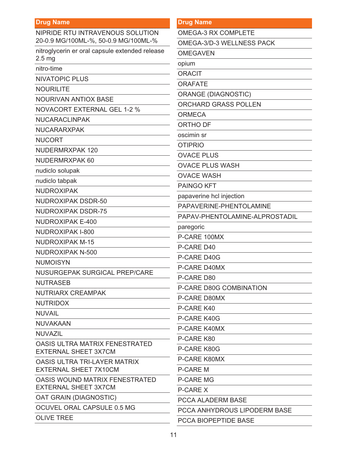| NIPRIDE RTU INTRAVENOUS SOLUTION<br>20-0.9 MG/100ML-%, 50-0.9 MG/100ML-% |
|--------------------------------------------------------------------------|
| nitroglycerin er oral capsule extended release<br>2.5 <sub>mg</sub>      |
| nitro-time                                                               |
| <b>NIVATOPIC PLUS</b>                                                    |
| <b>NOURILITE</b>                                                         |
| <b>NOURIVAN ANTIOX BASE</b>                                              |
| <b>NOVACORT EXTERNAL GEL 1-2 %</b>                                       |
| <b>NUCARACLINPAK</b>                                                     |
| <b>NUCARARXPAK</b>                                                       |
| <b>NUCORT</b>                                                            |
| <b>NUDERMRXPAK 120</b>                                                   |
| <b>NUDERMRXPAK 60</b>                                                    |
| nudiclo solupak                                                          |
| nudiclo tabpak                                                           |
| <b>NUDROXIPAK</b>                                                        |
| <b>NUDROXIPAK DSDR-50</b>                                                |
| <b>NUDROXIPAK DSDR-75</b>                                                |
| <b>NUDROXIPAK E-400</b>                                                  |
| <b>NUDROXIPAK I-800</b>                                                  |
| <b>NUDROXIPAK M-15</b>                                                   |
| <b>NUDROXIPAK N-500</b>                                                  |
| <b>NUMOISYN</b>                                                          |
| NUSURGEPAK SURGICAL PREP/CARE                                            |
| <b>NUTRASEB</b>                                                          |
| <b>NUTRIARX CREAMPAK</b>                                                 |
| <b>NUTRIDOX</b>                                                          |
| <b>NUVAIL</b>                                                            |
| <b>NUVAKAAN</b>                                                          |
| <b>NUVAZIL</b>                                                           |
| OASIS ULTRA MATRIX FENESTRATED<br><b>EXTERNAL SHEET 3X7CM</b>            |
| <b>OASIS ULTRA TRI-LAYER MATRIX</b><br><b>EXTERNAL SHEET 7X10CM</b>      |
| OASIS WOUND MATRIX FENESTRATED<br><b>EXTERNAL SHEET 3X7CM</b>            |
| OAT GRAIN (DIAGNOSTIC)                                                   |
| OCUVEL ORAL CAPSULE 0.5 MG                                               |
| <b>OLIVE TREE</b>                                                        |

| <b>Drug Name</b> |  |  |
|------------------|--|--|
|                  |  |  |

OMEGA-3 RX COMPLETE

OMEGA-3/D-3 WELLNESS PACK

**OMEGAVEN** 

opium

**ORACIT** 

**ORAFATE** 

**ORANGE (DIAGNOSTIC)** 

ORCHARD GRASS POLLEN

**ORMECA** 

ORTHO DF

oscimin sr

**OTIPRIO** 

**OVACE PLUS** 

**OVACE PLUS WASH** 

**OVACE WASH** 

PAINGO KFT

papaverine hcl injection

PAPAVERINE-PHENTOLAMINE

PAPAV-PHENTOLAMINE-ALPROSTADIL

paregoric

P-CARE 100MX

P-CARE D40

P-CARE D40G

P-CARE D40MX

P-CARE D80

P-CARE D80G COMBINATION

P-CARE D80MX

P-CARE K40

P-CARE K40G

P-CARE K40MX

P-CARE K80

P-CARE K80G

P-CARE K80MX

**P-CARE M** 

**P-CARE MG** 

**P-CARE X** 

PCCA ALADERM BASE

PCCA ANHYDROUS LIPODERM BASE

PCCA BIOPEPTIDE BASE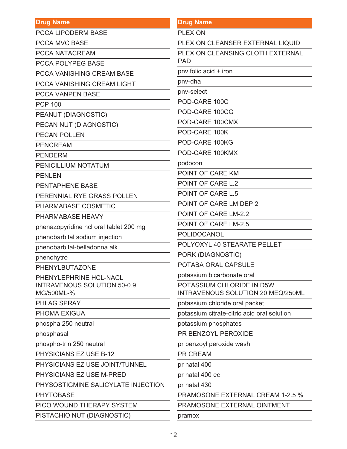| <b>Drug Name</b>                                 | <b>Drug Name</b>                                               |
|--------------------------------------------------|----------------------------------------------------------------|
| <b>PCCA LIPODERM BASE</b>                        | <b>PLEXION</b>                                                 |
| <b>PCCA MVC BASE</b>                             | PLEXION CLEANSER EXTERNAL LIQUID                               |
| <b>PCCA NATACREAM</b>                            | PLEXION CLEANSING CLOTH EXTERNAL                               |
| <b>PCCA POLYPEG BASE</b>                         | <b>PAD</b>                                                     |
| <b>PCCA VANISHING CREAM BASE</b>                 | pnv folic acid + iron                                          |
| PCCA VANISHING CREAM LIGHT                       | pnv-dha                                                        |
| <b>PCCA VANPEN BASE</b>                          | pnv-select                                                     |
| <b>PCP 100</b>                                   | POD-CARE 100C                                                  |
| PEANUT (DIAGNOSTIC)                              | POD-CARE 100CG                                                 |
| PECAN NUT (DIAGNOSTIC)                           | POD-CARE 100CMX                                                |
| <b>PECAN POLLEN</b>                              | POD-CARE 100K                                                  |
| <b>PENCREAM</b>                                  | POD-CARE 100KG                                                 |
| <b>PENDERM</b>                                   | POD-CARE 100KMX                                                |
| PENICILLIUM NOTATUM                              | podocon                                                        |
| <b>PENLEN</b>                                    | POINT OF CARE KM                                               |
| <b>PENTAPHENE BASE</b>                           | POINT OF CARE L.2                                              |
| PERENNIAL RYE GRASS POLLEN                       | <b>POINT OF CARE L.5</b>                                       |
| PHARMABASE COSMETIC                              | POINT OF CARE LM DEP 2                                         |
| PHARMABASE HEAVY                                 | <b>POINT OF CARE LM-2.2</b>                                    |
| phenazopyridine hcl oral tablet 200 mg           | POINT OF CARE LM-2.5                                           |
| phenobarbital sodium injection                   | POLIDOCANOL                                                    |
| phenobarbital-belladonna alk                     | POLYOXYL 40 STEARATE PELLET                                    |
| phenohytro                                       | PORK (DIAGNOSTIC)                                              |
| PHENYLBUTAZONE                                   | POTABA ORAL CAPSULE                                            |
| PHENYLEPHRINE HCL-NACL                           | potassium bicarbonate oral                                     |
| <b>INTRAVENOUS SOLUTION 50-0.9</b><br>MG/500ML-% | POTASSIUM CHLORIDE IN D5W<br>INTRAVENOUS SOLUTION 20 MEQ/250ML |
| PHLAG SPRAY                                      | potassium chloride oral packet                                 |
| PHOMA EXIGUA                                     | potassium citrate-citric acid oral solution                    |
| phospha 250 neutral                              | potassium phosphates                                           |
| phosphasal                                       | PR BENZOYL PEROXIDE                                            |
| phospho-trin 250 neutral                         | pr benzoyl peroxide wash                                       |
| <b>PHYSICIANS EZ USE B-12</b>                    | <b>PR CREAM</b>                                                |
| PHYSICIANS EZ USE JOINT/TUNNEL                   | pr natal 400                                                   |
| PHYSICIANS EZ USE M-PRED                         | pr natal 400 ec                                                |
| PHYSOSTIGMINE SALICYLATE INJECTION               | pr natal 430                                                   |
| <b>PHYTOBASE</b>                                 | <b>PRAMOSONE EXTERNAL CREAM 1-2.5 %</b>                        |
| PICO WOUND THERAPY SYSTEM                        | PRAMOSONE EXTERNAL OINTMENT                                    |
| PISTACHIO NUT (DIAGNOSTIC)                       | pramox                                                         |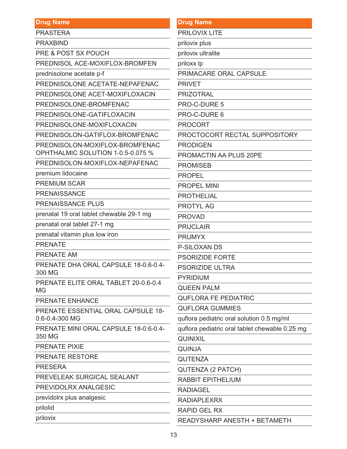**PRASTERA** 

**PRAXBIND** 

**PRE & POST SX POUCH** 

PREDNISOL ACE-MOXIFLOX-BROMFEN

prednisolone acetate p-f

PREDNISOLONE ACETATE-NEPAFENAC

PREDNISOLONE ACET-MOXIFLOXACIN

PREDNISOLONE-BROMFENAC

PREDNISOLONE-GATIFLOXACIN

PREDNISOLONE-MOXIFLOXACIN

PREDNISOLON-GATIFLOX-BROMFENAC

PREDNISOLON-MOXIFLOX-BROMFENAC

OPHTHALMIC SOLUTION 1-0.5-0.075 %

PREDNISOLON-MOXIFLOX-NEPAFENAC

premium lidocaine

**PREMIUM SCAR** 

**PRENAISSANCE** 

**PRENAISSANCE PLUS** 

prenatal 19 oral tablet chewable 29-1 mg

prenatal oral tablet 27-1 mg

prenatal vitamin plus low iron

**PRENATE** 

PRENATE AM

PRENATE DHA ORAL CAPSULE 18-0.6-0.4-300 MG

PRENATE ELITE ORAL TABLET 20-0.6-0.4 MG

PRENATE ENHANCE

PRENATE ESSENTIAL ORAL CAPSULE 18-0.6-0.4-300 MG

PRENATE MINI ORAL CAPSULE 18-0.6-0.4-350 MG

PRENATE PIXIE

PRENATE RESTORE

**PRESERA** 

PREVELEAK SURGICAL SEALANT

PREVIDOLRX ANALGESIC

previdolrx plus analgesic

prilolid

prilovix

#### **Drug Name**

**PRILOVIX LITE** 

prilovix plus

prilovix ultralite

priloxx lp

PRIMACARE ORAL CAPSULE

**PRIVET** 

**PRIZOTRAL** 

PRO-C-DURE 5

PRO-C-DURE 6

**PROCORT** 

PROCTOCORT RECTAL SUPPOSITORY

**PRODIGEN** 

PROMACTIN AA PLUS 20PE

**PROMISEB** 

**PROPEL** 

**PROPEL MINI** 

**PROTHELIAL** 

**PROTYL AG** 

**PROVAD** 

**PRUCLAIR** 

**PRUMYX** 

**P-SILOXAN DS** 

**PSORIZIDE FORTE** 

**PSORIZIDE ULTRA** 

**PYRIDIUM** 

**QUEEN PALM** 

**QUFLORA FE PEDIATRIC** 

**QUFLORA GUMMIES** 

quflora pediatric oral solution 0.5 mg/ml

quflora pediatric oral tablet chewable 0.25 mg

**QUINIXIL** 

**QUINJA** 

**QUTENZA** 

**QUTENZA (2 PATCH)** 

**RABBIT EPITHELIUM** 

**RADIAGEL** 

**RADIAPI FXRX** 

RAPID GFI RX

READYSHARP ANESTH + BETAMETH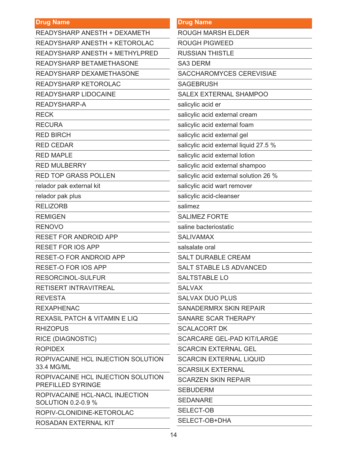| <b>Drug Name</b>                                        | <b>Drug Name</b>                      |
|---------------------------------------------------------|---------------------------------------|
| <b>READYSHARP ANESTH + DEXAMETH</b>                     | <b>ROUGH MARSH ELDER</b>              |
| READYSHARP ANESTH + KETOROLAC                           | <b>ROUGH PIGWEED</b>                  |
| <b>READYSHARP ANESTH + METHYLPRED</b>                   | <b>RUSSIAN THISTLE</b>                |
| READYSHARP BETAMETHASONE                                | <b>SA3 DERM</b>                       |
| READYSHARP DEXAMETHASONE                                | SACCHAROMYCES CEREVISIAE              |
| READYSHARP KETOROLAC                                    | <b>SAGEBRUSH</b>                      |
| <b>READYSHARP LIDOCAINE</b>                             | <b>SALEX EXTERNAL SHAMPOO</b>         |
| READYSHARP-A                                            | salicylic acid er                     |
| <b>RECK</b>                                             | salicylic acid external cream         |
| <b>RECURA</b>                                           | salicylic acid external foam          |
| <b>RED BIRCH</b>                                        | salicylic acid external gel           |
| <b>RED CEDAR</b>                                        | salicylic acid external liquid 27.5 % |
| <b>RED MAPLE</b>                                        | salicylic acid external lotion        |
| <b>RED MULBERRY</b>                                     | salicylic acid external shampoo       |
| <b>RED TOP GRASS POLLEN</b>                             | salicylic acid external solution 26 % |
| relador pak external kit                                | salicylic acid wart remover           |
| relador pak plus                                        | salicylic acid-cleanser               |
| <b>RELIZORB</b>                                         | salimez                               |
| <b>REMIGEN</b>                                          | <b>SALIMEZ FORTE</b>                  |
| <b>RENOVO</b>                                           | saline bacteriostatic                 |
| <b>RESET FOR ANDROID APP</b>                            | <b>SALIVAMAX</b>                      |
| <b>RESET FOR IOS APP</b>                                | salsalate oral                        |
| <b>RESET-O FOR ANDROID APP</b>                          | <b>SALT DURABLE CREAM</b>             |
| <b>RESET-O FOR IOS APP</b>                              | <b>SALT STABLE LS ADVANCED</b>        |
| <b>RESORCINOL-SULFUR</b>                                | <b>SALTSTABLE LO</b>                  |
| <b>RETISERT INTRAVITREAL</b>                            | <b>SALVAX</b>                         |
| <b>REVESTA</b>                                          | <b>SALVAX DUO PLUS</b>                |
| <b>REXAPHENAC</b>                                       | <b>SANADERMRX SKIN REPAIR</b>         |
| <b>REXASIL PATCH &amp; VITAMIN E LIQ</b>                | SANARE SCAR THERAPY                   |
| <b>RHIZOPUS</b>                                         | <b>SCALACORT DK</b>                   |
| <b>RICE (DIAGNOSTIC)</b>                                | <b>SCARCARE GEL-PAD KIT/LARGE</b>     |
| <b>ROPIDEX</b>                                          | <b>SCARCIN EXTERNAL GEL</b>           |
| ROPIVACAINE HCL INJECTION SOLUTION<br>33.4 MG/ML        | <b>SCARCIN EXTERNAL LIQUID</b>        |
|                                                         | <b>SCARSILK EXTERNAL</b>              |
| ROPIVACAINE HCL INJECTION SOLUTION<br>PREFILLED SYRINGE | <b>SCARZEN SKIN REPAIR</b>            |
| ROPIVACAINE HCL-NACL INJECTION                          | <b>SEBUDERM</b>                       |
| SOLUTION 0.2-0.9 %                                      | <b>SEDANARE</b>                       |
| ROPIV-CLONIDINE-KETOROLAC                               | <b>SELECT-OB</b>                      |
| ROSADAN EXTERNAL KIT                                    | SELECT-OB+DHA                         |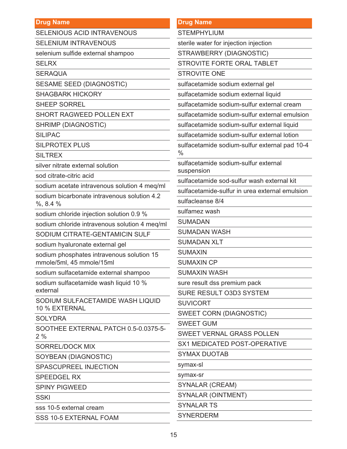SELENIOUS ACID INTRAVENOUS

SELENIUM INTRAVENOUS

selenium sulfide external shampoo

**SELRX** 

**SERAQUA** 

SESAME SEED (DIAGNOSTIC)

SHAGBARK HICKORY

SHEEP SORREL

SHORT RAGWEED POLLEN EXT

SHRIMP (DIAGNOSTIC)

SILIPAC

SILPROTEX PLUS

**SILTREX** 

silver nitrate external solution

sod citrate-citric acid

sodium acetate intravenous solution 4 meq/ml

sodium bicarbonate intravenous solution 4.2 %, 8.4 %

sodium chloride injection solution 0.9 %

sodium chloride intravenous solution 4 meq/ml

SODIUM CITRATE-GENTAMICIN SULF

sodium hyaluronate external gel

sodium phosphates intravenous solution 15 mmole/5ml, 45 mmole/15ml

sodium sulfacetamide external shampoo

sodium sulfacetamide wash liquid 10 % external

SODIUM SULFACETAMIDE WASH LIQUID 10 % EXTERNAL

**SOLYDRA** 

SOOTHEE EXTERNAL PATCH 0.5-0.0375-5- 2 %

SORREL/DOCK MIX

SOYBEAN (DIAGNOSTIC)

SPASCUPREEL INJECTION

SPEEDGEL RX

SPINY PIGWEED

**SSKI** 

sss 10-5 external cream

SSS 10-5 EXTERNAL FOAM

### **Drug Name**

**STEMPHYLIUM** 

sterile water for injection injection

STRAWBERRY (DIAGNOSTIC)

STROVITE FORTE ORAL TABLET

STROVITE ONE

sulfacetamide sodium external gel

sulfacetamide sodium external liquid

sulfacetamide sodium-sulfur external cream

sulfacetamide sodium-sulfur external emulsion

sulfacetamide sodium-sulfur external liquid

sulfacetamide sodium-sulfur external lotion

sulfacetamide sodium-sulfur external pad 10-4 %

sulfacetamide sodium-sulfur external suspension

sulfacetamide sod-sulfur wash external kit

sulfacetamide-sulfur in urea external emulsion

sulfacleanse 8/4

sulfamez wash

SUMADAN

SUMADAN WASH

SUMADAN XLT

SUMAXIN

SUMAXIN CP

SUMAXIN WASH

sure result dss premium pack

SURE RESULT O3D3 SYSTEM

**SUVICORT** 

SWEET CORN (DIAGNOSTIC)

SWEET GUM

SWEET VERNAL GRASS POLLEN

SX1 MEDICATED POST-OPERATIVE

SYMAX DUOTAB

symax-sl

symax-sr

SYNALAR (CREAM)

SYNALAR (OINTMENT)

SYNALAR TS

SYNERDERM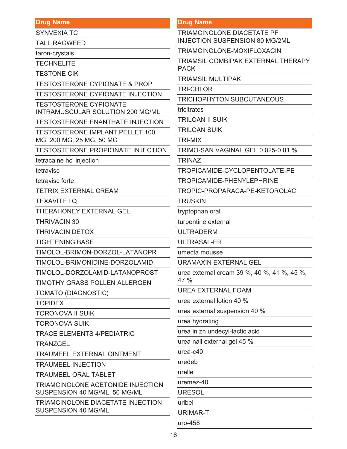SYNVEXIA TC

TALL RAGWEED

taron-crystals

**TECHNELITE** 

TESTONE CIK

TESTOSTERONE CYPIONATE & PROP

TESTOSTERONE CYPIONATE INJECTION

TESTOSTERONE CYPIONATE INTRAMUSCULAR SOLUTION 200 MG/ML

TESTOSTERONE ENANTHATE INJECTION

TESTOSTERONE IMPLANT PELLET 100 MG, 200 MG, 25 MG, 50 MG

TESTOSTERONE PROPIONATE INJECTION

tetracaine hcl injection

tetravisc

tetravisc forte

TETRIX EXTERNAL CREAM

TEXAVITE LQ

THERAHONEY EXTERNAL GEL

THRIVACIN 30

THRIVACIN DETOX

TIGHTENING BASE

TIMOLOL-BRIMON-DORZOL-LATANOPR

TIMOLOL-BRIMONIDINE-DORZOLAMID

TIMOLOL-DORZOLAMID-LATANOPROST

TIMOTHY GRASS POLLEN ALLERGEN

TOMATO (DIAGNOSTIC)

TOPIDEX

TORONOVA II SUIK

TORONOVA SUIK

TRACE ELEMENTS 4/PEDIATRIC

**TRANZGEL** 

TRAUMEEL EXTERNAL OINTMENT

TRAUMEEL INJECTION

TRAUMEEL ORAL TABLET

TRIAMCINOLONE ACETONIDE INJECTION SUSPENSION 40 MG/ML, 50 MG/ML

TRIAMCINOLONE DIACETATE INJECTION SUSPENSION 40 MG/ML

#### **Drug Name**

TRIAMCINOLONE DIACETATE PF INJECTION SUSPENSION 80 MG/2ML

TRIAMCINOLONE-MOXIFLOXACIN

TRIAMSIL COMBIPAK EXTERNAL THERAPY PACK

TRIAMSIL MULTIPAK

TRI-CHLOR

TRICHOPHYTON SUBCUTANEOUS

tricitrates

TRILOAN II SUIK

TRILOAN SUIK

TRI-MIX

TRIMO-SAN VAGINAL GEL 0.025-0.01 %

**TRINAZ** 

TROPICAMIDE-CYCLOPENTOLATE-PE

TROPICAMIDE-PHENYLEPHRINE

TROPIC-PROPARACA-PE-KETOROLAC

**TRUSKIN** 

tryptophan oral

turpentine external

ULTRADERM

ULTRASAL-ER

umecta mousse

URAMAXIN EXTERNAL GEL

urea external cream 39 %, 40 %, 41 %, 45 %, 47 %

UREA EXTERNAL FOAM

urea external lotion 40 %

urea external suspension 40 %

urea hydrating

urea in zn undecyl-lactic acid

urea nail external gel 45 %

urea-c40

uredeb

urelle

uremez-40

URESOL

uribel

URIMAR-T

uro-458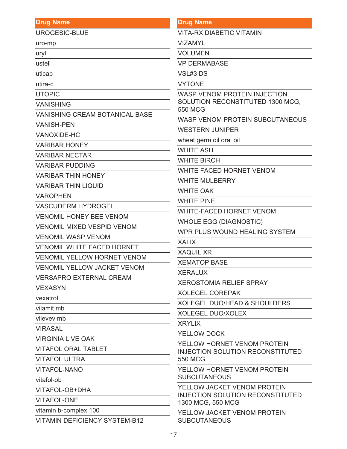#### **Drug Name** UROGESIC-BLUE uro-mp uryl ustell uticap utira-c UTOPIC VANISHING VANISHING CREAM BOTANICAL BASE VANISH-PEN VANOXIDE-HC VARIBAR HONEY VARIBAR NECTAR VARIBAR PUDDING VARIBAR THIN HONEY VARIBAR THIN LIQUID VAROPHEN VASCUDERM HYDROGEL VENOMIL HONEY BEE VENOM VENOMIL MIXED VESPID VENOM VENOMIL WASP VENOM VENOMIL WHITE FACED HORNET VENOMIL YELLOW HORNET VENOM VENOMIL YELLOW JACKET VENOM VERSAPRO EXTERNAL CREAM VEXASYN vexatrol vilamit mb vilevev mb **VIRASAL** VIRGINIA LIVE OAK VITAFOL ORAL TABLET VITAFOL ULTRA VITAFOL-NANO vitafol-ob **Drug Name** VITA-RX DIABETIC VITAMIN VIZAMYL VOLUMEN VP DERMABASE VSL#3 DS VYTONE WASP VENOM PROTEIN INJECTION SOLUTION RECONSTITUTED 1300 MCG, 550 MCG WASP VENOM PROTEIN SUBCUTANEOUS WESTERN JUNIPER wheat germ oil oral oil WHITE ASH WHITE BIRCH WHITE FACED HORNET VENOM WHITE MULBERRY WHITE OAK WHITE PINE WHITE-FACED HORNET VENOM WHOLE EGG (DIAGNOSTIC) WPR PLUS WOUND HEALING SYSTEM XALIX XAQUIL XR XEMATOP BASE XERALUX XEROSTOMIA RELIEF SPRAY XOLEGEL COREPAK XOLEGEL DUO/HEAD & SHOULDERS XOLEGEL DUO/XOLEX XRYLIX YELLOW DOCK YELLOW HORNET VENOM PROTEIN INJECTION SOLUTION RECONSTITUTED 550 MCG YELLOW HORNET VENOM PROTEIN **SUBCUTANEOUS**

VITAFOL-OB+DHA

VITAFOL-ONE

vitamin b-complex 100

VITAMIN DEFICIENCY SYSTEM-B12

1300 MCG, 550 MCG

YELLOW JACKET VENOM PROTEIN

INJECTION SOLUTION RECONSTITUTED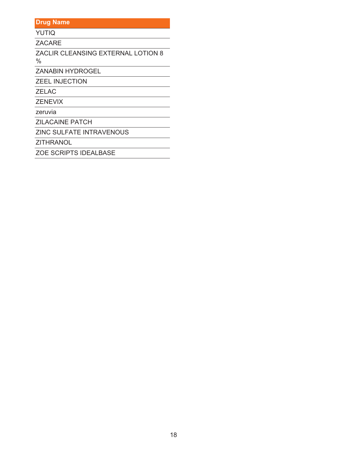**YUTIQ** 

ZACARE

ZACLIR CLEANSING EXTERNAL LOTION 8  $\%$ 

ZANABIN HYDROGEL

**ZEEL INJECTION** 

ZELAC

ZENEVIX

zeruvia

**ZILACAINE PATCH** 

ZINC SULFATE INTRAVENOUS

ZITHRANOL

ZOE SCRIPTS IDEALBASE